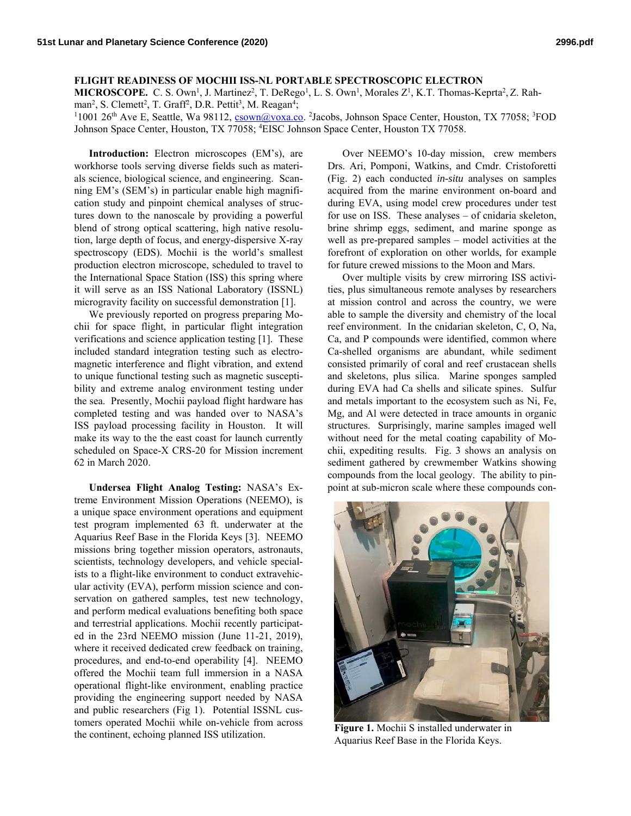**FLIGHT READINESS OF MOCHII ISS-NL PORTABLE SPECTROSCOPIC ELECTRON** 

MICROSCOPE. C. S. Own<sup>1</sup>, J. Martinez<sup>2</sup>, T. DeRego<sup>1</sup>, L. S. Own<sup>1</sup>, Morales Z<sup>1</sup>, K.T. Thomas-Keprta<sup>2</sup>, Z. Rahman<sup>2</sup>, S. Clemett<sup>2</sup>, T. Graff<sup>2</sup>, D.R. Pettit<sup>3</sup>, M. Reagan<sup>4</sup>;<br><sup>11001 26<sup>th</sup> Ave E. Seattle, Wa.98112, csown@voxa.co</sup>

1001 26<sup>th</sup> Ave E, Seattle, Wa 98112, csown@voxa.co. <sup>2</sup>Jacobs, Johnson Space Center, Houston, TX 77058; <sup>3</sup>FOD Johnson Space Center, Houston, TX 77058; 4 EISC Johnson Space Center, Houston TX 77058.

**Introduction:** Electron microscopes (EM's), are workhorse tools serving diverse fields such as materials science, biological science, and engineering. Scanning EM's (SEM's) in particular enable high magnification study and pinpoint chemical analyses of structures down to the nanoscale by providing a powerful blend of strong optical scattering, high native resolution, large depth of focus, and energy-dispersive X-ray spectroscopy (EDS). Mochii is the world's smallest production electron microscope, scheduled to travel to the International Space Station (ISS) this spring where it will serve as an ISS National Laboratory (ISSNL) microgravity facility on successful demonstration [1].

We previously reported on progress preparing Mochii for space flight, in particular flight integration verifications and science application testing [1]. These included standard integration testing such as electromagnetic interference and flight vibration, and extend to unique functional testing such as magnetic susceptibility and extreme analog environment testing under the sea. Presently, Mochii payload flight hardware has completed testing and was handed over to NASA's ISS payload processing facility in Houston. It will make its way to the the east coast for launch currently scheduled on Space-X CRS-20 for Mission increment 62 in March 2020.

**Undersea Flight Analog Testing:** NASA's Extreme Environment Mission Operations (NEEMO), is a unique space environment operations and equipment test program implemented 63 ft. underwater at the Aquarius Reef Base in the Florida Keys [3]. NEEMO missions bring together mission operators, astronauts, scientists, technology developers, and vehicle specialists to a flight-like environment to conduct extravehicular activity (EVA), perform mission science and conservation on gathered samples, test new technology, and perform medical evaluations benefiting both space and terrestrial applications. Mochii recently participated in the 23rd NEEMO mission (June 11-21, 2019), where it received dedicated crew feedback on training, procedures, and end-to-end operability [4]. NEEMO offered the Mochii team full immersion in a NASA operational flight-like environment, enabling practice providing the engineering support needed by NASA and public researchers (Fig 1). Potential ISSNL customers operated Mochii while on-vehicle from across the continent, echoing planned ISS utilization.

Over NEEMO's 10-day mission, crew members Drs. Ari, Pomponi, Watkins, and Cmdr. Cristoforetti (Fig. 2) each conducted *in-situ* analyses on samples acquired from the marine environment on-board and during EVA, using model crew procedures under test for use on ISS. These analyses – of cnidaria skeleton, brine shrimp eggs, sediment, and marine sponge as well as pre-prepared samples – model activities at the forefront of exploration on other worlds, for example for future crewed missions to the Moon and Mars.

Over multiple visits by crew mirroring ISS activities, plus simultaneous remote analyses by researchers at mission control and across the country, we were able to sample the diversity and chemistry of the local reef environment. In the cnidarian skeleton, C, O, Na, Ca, and P compounds were identified, common where Ca-shelled organisms are abundant, while sediment consisted primarily of coral and reef crustacean shells and skeletons, plus silica. Marine sponges sampled during EVA had Ca shells and silicate spines. Sulfur and metals important to the ecosystem such as Ni, Fe, Mg, and Al were detected in trace amounts in organic structures. Surprisingly, marine samples imaged well without need for the metal coating capability of Mochii, expediting results. Fig. 3 shows an analysis on sediment gathered by crewmember Watkins showing compounds from the local geology. The ability to pinpoint at sub-micron scale where these compounds con-



**Figure 1.** Mochii S installed underwater in Aquarius Reef Base in the Florida Keys.